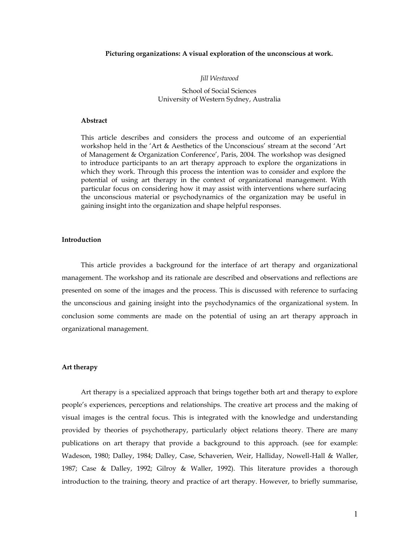## **Picturing organizations: A visual exploration of the unconscious at work.**

## *Jill Westwood*

School of Social Sciences University of Western Sydney, Australia

## **Abstract**

This article describes and considers the process and outcome of an experiential workshop held in the "Art & Aesthetics of the Unconscious" stream at the second "Art of Management & Organization Conference", Paris, 2004. The workshop was designed to introduce participants to an art therapy approach to explore the organizations in which they work. Through this process the intention was to consider and explore the potential of using art therapy in the context of organizational management. With particular focus on considering how it may assist with interventions where surfacing the unconscious material or psychodynamics of the organization may be useful in gaining insight into the organization and shape helpful responses.

## **Introduction**

This article provides a background for the interface of art therapy and organizational management. The workshop and its rationale are described and observations and reflections are presented on some of the images and the process. This is discussed with reference to surfacing the unconscious and gaining insight into the psychodynamics of the organizational system. In conclusion some comments are made on the potential of using an art therapy approach in organizational management.

## **Art therapy**

Art therapy is a specialized approach that brings together both art and therapy to explore people"s experiences, perceptions and relationships. The creative art process and the making of visual images is the central focus. This is integrated with the knowledge and understanding provided by theories of psychotherapy, particularly object relations theory. There are many publications on art therapy that provide a background to this approach. (see for example: Wadeson, 1980; Dalley, 1984; Dalley, Case, Schaverien, Weir, Halliday, Nowell-Hall & Waller, 1987; Case & Dalley, 1992; Gilroy & Waller, 1992). This literature provides a thorough introduction to the training, theory and practice of art therapy. However, to briefly summarise,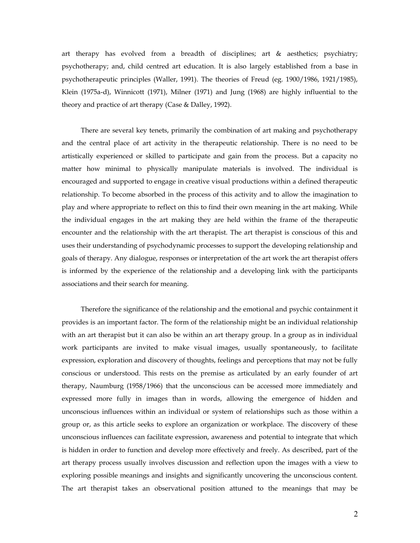art therapy has evolved from a breadth of disciplines; art & aesthetics; psychiatry; psychotherapy; and, child centred art education. It is also largely established from a base in psychotherapeutic principles (Waller, 1991). The theories of Freud (eg. 1900/1986, 1921/1985), Klein (1975a-d), Winnicott (1971), Milner (1971) and Jung (1968) are highly influential to the theory and practice of art therapy (Case & Dalley, 1992).

There are several key tenets, primarily the combination of art making and psychotherapy and the central place of art activity in the therapeutic relationship. There is no need to be artistically experienced or skilled to participate and gain from the process. But a capacity no matter how minimal to physically manipulate materials is involved. The individual is encouraged and supported to engage in creative visual productions within a defined therapeutic relationship. To become absorbed in the process of this activity and to allow the imagination to play and where appropriate to reflect on this to find their own meaning in the art making. While the individual engages in the art making they are held within the frame of the therapeutic encounter and the relationship with the art therapist. The art therapist is conscious of this and uses their understanding of psychodynamic processes to support the developing relationship and goals of therapy. Any dialogue, responses or interpretation of the art work the art therapist offers is informed by the experience of the relationship and a developing link with the participants associations and their search for meaning.

Therefore the significance of the relationship and the emotional and psychic containment it provides is an important factor. The form of the relationship might be an individual relationship with an art therapist but it can also be within an art therapy group. In a group as in individual work participants are invited to make visual images, usually spontaneously, to facilitate expression, exploration and discovery of thoughts, feelings and perceptions that may not be fully conscious or understood. This rests on the premise as articulated by an early founder of art therapy, Naumburg (1958/1966) that the unconscious can be accessed more immediately and expressed more fully in images than in words, allowing the emergence of hidden and unconscious influences within an individual or system of relationships such as those within a group or, as this article seeks to explore an organization or workplace. The discovery of these unconscious influences can facilitate expression, awareness and potential to integrate that which is hidden in order to function and develop more effectively and freely. As described, part of the art therapy process usually involves discussion and reflection upon the images with a view to exploring possible meanings and insights and significantly uncovering the unconscious content. The art therapist takes an observational position attuned to the meanings that may be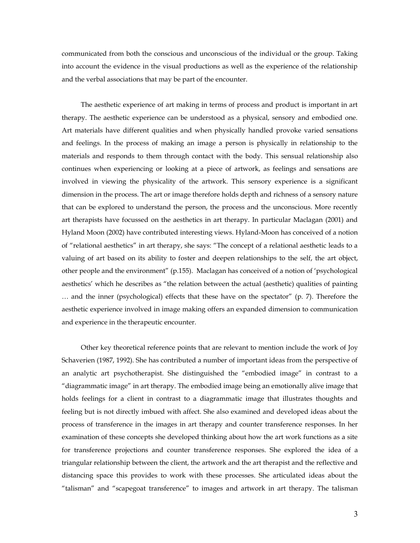communicated from both the conscious and unconscious of the individual or the group. Taking into account the evidence in the visual productions as well as the experience of the relationship and the verbal associations that may be part of the encounter.

The aesthetic experience of art making in terms of process and product is important in art therapy. The aesthetic experience can be understood as a physical, sensory and embodied one. Art materials have different qualities and when physically handled provoke varied sensations and feelings. In the process of making an image a person is physically in relationship to the materials and responds to them through contact with the body. This sensual relationship also continues when experiencing or looking at a piece of artwork, as feelings and sensations are involved in viewing the physicality of the artwork. This sensory experience is a significant dimension in the process. The art or image therefore holds depth and richness of a sensory nature that can be explored to understand the person, the process and the unconscious. More recently art therapists have focussed on the aesthetics in art therapy. In particular Maclagan (2001) and Hyland Moon (2002) have contributed interesting views. Hyland-Moon has conceived of a notion of "relational aesthetics" in art therapy, she says: "The concept of a relational aesthetic leads to a valuing of art based on its ability to foster and deepen relationships to the self, the art object, other people and the environment" (p.155). Maclagan has conceived of a notion of "psychological aesthetics" which he describes as "the relation between the actual (aesthetic) qualities of painting … and the inner (psychological) effects that these have on the spectator" (p. 7). Therefore the aesthetic experience involved in image making offers an expanded dimension to communication and experience in the therapeutic encounter.

Other key theoretical reference points that are relevant to mention include the work of Joy Schaverien (1987, 1992). She has contributed a number of important ideas from the perspective of an analytic art psychotherapist. She distinguished the "embodied image" in contrast to a "diagrammatic image" in art therapy. The embodied image being an emotionally alive image that holds feelings for a client in contrast to a diagrammatic image that illustrates thoughts and feeling but is not directly imbued with affect. She also examined and developed ideas about the process of transference in the images in art therapy and counter transference responses. In her examination of these concepts she developed thinking about how the art work functions as a site for transference projections and counter transference responses. She explored the idea of a triangular relationship between the client, the artwork and the art therapist and the reflective and distancing space this provides to work with these processes. She articulated ideas about the "talisman" and "scapegoat transference" to images and artwork in art therapy. The talisman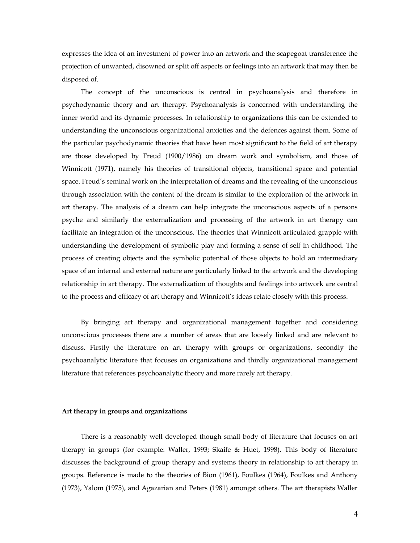expresses the idea of an investment of power into an artwork and the scapegoat transference the projection of unwanted, disowned or split off aspects or feelings into an artwork that may then be disposed of.

The concept of the unconscious is central in psychoanalysis and therefore in psychodynamic theory and art therapy. Psychoanalysis is concerned with understanding the inner world and its dynamic processes. In relationship to organizations this can be extended to understanding the unconscious organizational anxieties and the defences against them. Some of the particular psychodynamic theories that have been most significant to the field of art therapy are those developed by Freud (1900/1986) on dream work and symbolism, and those of Winnicott (1971), namely his theories of transitional objects, transitional space and potential space. Freud's seminal work on the interpretation of dreams and the revealing of the unconscious through association with the content of the dream is similar to the exploration of the artwork in art therapy. The analysis of a dream can help integrate the unconscious aspects of a persons psyche and similarly the externalization and processing of the artwork in art therapy can facilitate an integration of the unconscious. The theories that Winnicott articulated grapple with understanding the development of symbolic play and forming a sense of self in childhood. The process of creating objects and the symbolic potential of those objects to hold an intermediary space of an internal and external nature are particularly linked to the artwork and the developing relationship in art therapy. The externalization of thoughts and feelings into artwork are central to the process and efficacy of art therapy and Winnicott's ideas relate closely with this process.

By bringing art therapy and organizational management together and considering unconscious processes there are a number of areas that are loosely linked and are relevant to discuss. Firstly the literature on art therapy with groups or organizations, secondly the psychoanalytic literature that focuses on organizations and thirdly organizational management literature that references psychoanalytic theory and more rarely art therapy.

## **Art therapy in groups and organizations**

There is a reasonably well developed though small body of literature that focuses on art therapy in groups (for example: Waller, 1993; Skaife & Huet, 1998). This body of literature discusses the background of group therapy and systems theory in relationship to art therapy in groups. Reference is made to the theories of Bion (1961), Foulkes (1964), Foulkes and Anthony (1973), Yalom (1975), and Agazarian and Peters (1981) amongst others. The art therapists Waller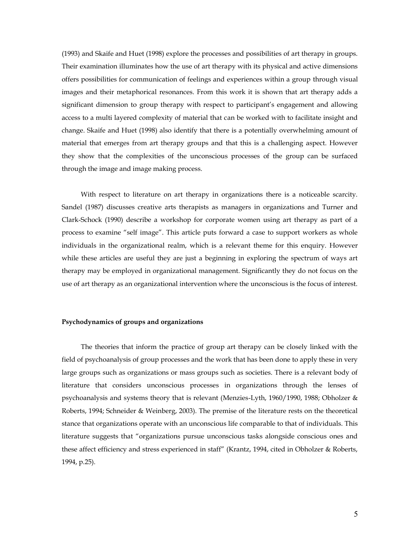(1993) and Skaife and Huet (1998) explore the processes and possibilities of art therapy in groups. Their examination illuminates how the use of art therapy with its physical and active dimensions offers possibilities for communication of feelings and experiences within a group through visual images and their metaphorical resonances. From this work it is shown that art therapy adds a significant dimension to group therapy with respect to participant's engagement and allowing access to a multi layered complexity of material that can be worked with to facilitate insight and change. Skaife and Huet (1998) also identify that there is a potentially overwhelming amount of material that emerges from art therapy groups and that this is a challenging aspect. However they show that the complexities of the unconscious processes of the group can be surfaced through the image and image making process.

With respect to literature on art therapy in organizations there is a noticeable scarcity. Sandel (1987) discusses creative arts therapists as managers in organizations and Turner and Clark-Schock (1990) describe a workshop for corporate women using art therapy as part of a process to examine "self image". This article puts forward a case to support workers as whole individuals in the organizational realm, which is a relevant theme for this enquiry. However while these articles are useful they are just a beginning in exploring the spectrum of ways art therapy may be employed in organizational management. Significantly they do not focus on the use of art therapy as an organizational intervention where the unconscious is the focus of interest.

#### **Psychodynamics of groups and organizations**

The theories that inform the practice of group art therapy can be closely linked with the field of psychoanalysis of group processes and the work that has been done to apply these in very large groups such as organizations or mass groups such as societies. There is a relevant body of literature that considers unconscious processes in organizations through the lenses of psychoanalysis and systems theory that is relevant (Menzies-Lyth, 1960/1990, 1988; Obholzer & Roberts, 1994; Schneider & Weinberg, 2003). The premise of the literature rests on the theoretical stance that organizations operate with an unconscious life comparable to that of individuals. This literature suggests that "organizations pursue unconscious tasks alongside conscious ones and these affect efficiency and stress experienced in staff" (Krantz, 1994, cited in Obholzer & Roberts, 1994, p.25).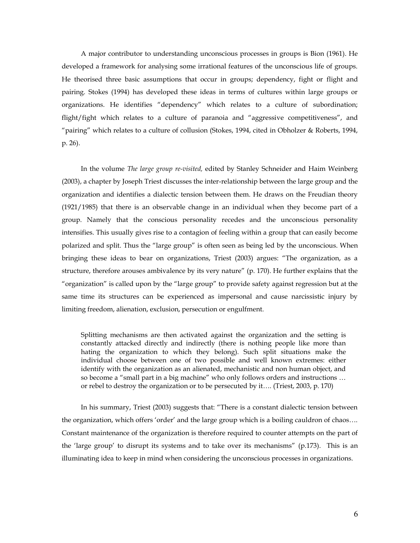A major contributor to understanding unconscious processes in groups is Bion (1961). He developed a framework for analysing some irrational features of the unconscious life of groups. He theorised three basic assumptions that occur in groups; dependency, fight or flight and pairing. Stokes (1994) has developed these ideas in terms of cultures within large groups or organizations. He identifies "dependency" which relates to a culture of subordination; flight/fight which relates to a culture of paranoia and "aggressive competitiveness", and "pairing" which relates to a culture of collusion (Stokes, 1994, cited in Obholzer & Roberts, 1994, p. 26).

In the volume *The large group re-visited,* edited by Stanley Schneider and Haim Weinberg (2003), a chapter by Joseph Triest discusses the inter-relationship between the large group and the organization and identifies a dialectic tension between them. He draws on the Freudian theory (1921/1985) that there is an observable change in an individual when they become part of a group. Namely that the conscious personality recedes and the unconscious personality intensifies. This usually gives rise to a contagion of feeling within a group that can easily become polarized and split. Thus the "large group" is often seen as being led by the unconscious. When bringing these ideas to bear on organizations, Triest (2003) argues: "The organization, as a structure, therefore arouses ambivalence by its very nature" (p. 170). He further explains that the "organization" is called upon by the "large group" to provide safety against regression but at the same time its structures can be experienced as impersonal and cause narcissistic injury by limiting freedom, alienation, exclusion, persecution or engulfment.

Splitting mechanisms are then activated against the organization and the setting is constantly attacked directly and indirectly (there is nothing people like more than hating the organization to which they belong). Such split situations make the individual choose between one of two possible and well known extremes: either identify with the organization as an alienated, mechanistic and non human object, and so become a "small part in a big machine" who only follows orders and instructions … or rebel to destroy the organization or to be persecuted by it…. (Triest, 2003, p. 170)

In his summary, Triest (2003) suggests that: "There is a constant dialectic tension between the organization, which offers "order" and the large group which is a boiling cauldron of chaos…. Constant maintenance of the organization is therefore required to counter attempts on the part of the 'large group' to disrupt its systems and to take over its mechanisms" ( $p.173$ ). This is an illuminating idea to keep in mind when considering the unconscious processes in organizations.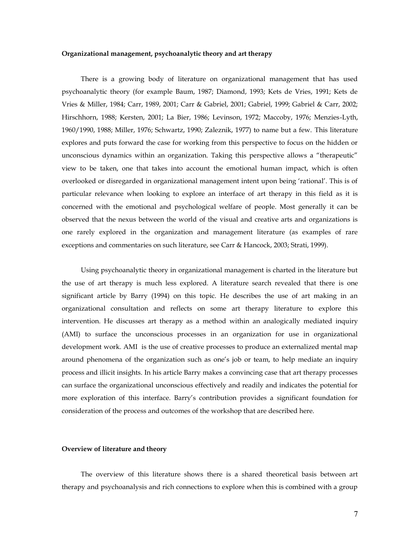### **Organizational management, psychoanalytic theory and art therapy**

There is a growing body of literature on organizational management that has used psychoanalytic theory (for example Baum, 1987; Diamond, 1993; Kets de Vries, 1991; Kets de Vries & Miller, 1984; Carr, 1989, 2001; Carr & Gabriel, 2001; Gabriel, 1999; Gabriel & Carr, 2002; Hirschhorn, 1988; Kersten, 2001; La Bier, 1986; Levinson, 1972; Maccoby, 1976; Menzies-Lyth, 1960/1990, 1988; Miller, 1976; Schwartz, 1990; Zaleznik, 1977) to name but a few. This literature explores and puts forward the case for working from this perspective to focus on the hidden or unconscious dynamics within an organization. Taking this perspective allows a "therapeutic" view to be taken, one that takes into account the emotional human impact, which is often overlooked or disregarded in organizational management intent upon being "rational". This is of particular relevance when looking to explore an interface of art therapy in this field as it is concerned with the emotional and psychological welfare of people. Most generally it can be observed that the nexus between the world of the visual and creative arts and organizations is one rarely explored in the organization and management literature (as examples of rare exceptions and commentaries on such literature, see Carr & Hancock, 2003; Strati, 1999).

Using psychoanalytic theory in organizational management is charted in the literature but the use of art therapy is much less explored. A literature search revealed that there is one significant article by Barry (1994) on this topic. He describes the use of art making in an organizational consultation and reflects on some art therapy literature to explore this intervention. He discusses art therapy as a method within an analogically mediated inquiry (AMI) to surface the unconscious processes in an organization for use in organizational development work. AMI is the use of creative processes to produce an externalized mental map around phenomena of the organization such as one"s job or team, to help mediate an inquiry process and illicit insights. In his article Barry makes a convincing case that art therapy processes can surface the organizational unconscious effectively and readily and indicates the potential for more exploration of this interface. Barry"s contribution provides a significant foundation for consideration of the process and outcomes of the workshop that are described here.

## **Overview of literature and theory**

The overview of this literature shows there is a shared theoretical basis between art therapy and psychoanalysis and rich connections to explore when this is combined with a group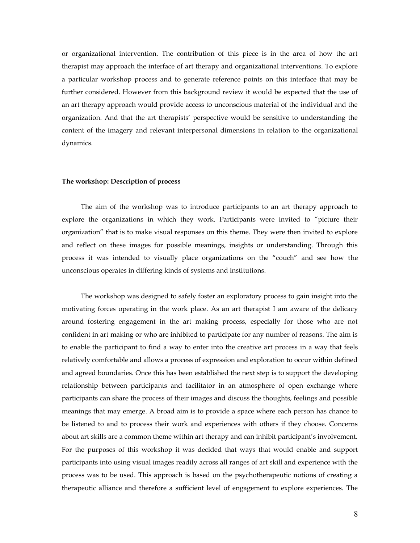or organizational intervention. The contribution of this piece is in the area of how the art therapist may approach the interface of art therapy and organizational interventions. To explore a particular workshop process and to generate reference points on this interface that may be further considered. However from this background review it would be expected that the use of an art therapy approach would provide access to unconscious material of the individual and the organization. And that the art therapists" perspective would be sensitive to understanding the content of the imagery and relevant interpersonal dimensions in relation to the organizational dynamics.

## **The workshop: Description of process**

The aim of the workshop was to introduce participants to an art therapy approach to explore the organizations in which they work. Participants were invited to "picture their organization" that is to make visual responses on this theme. They were then invited to explore and reflect on these images for possible meanings, insights or understanding. Through this process it was intended to visually place organizations on the "couch" and see how the unconscious operates in differing kinds of systems and institutions.

The workshop was designed to safely foster an exploratory process to gain insight into the motivating forces operating in the work place. As an art therapist I am aware of the delicacy around fostering engagement in the art making process, especially for those who are not confident in art making or who are inhibited to participate for any number of reasons. The aim is to enable the participant to find a way to enter into the creative art process in a way that feels relatively comfortable and allows a process of expression and exploration to occur within defined and agreed boundaries. Once this has been established the next step is to support the developing relationship between participants and facilitator in an atmosphere of open exchange where participants can share the process of their images and discuss the thoughts, feelings and possible meanings that may emerge. A broad aim is to provide a space where each person has chance to be listened to and to process their work and experiences with others if they choose. Concerns about art skills are a common theme within art therapy and can inhibit participant"s involvement. For the purposes of this workshop it was decided that ways that would enable and support participants into using visual images readily across all ranges of art skill and experience with the process was to be used. This approach is based on the psychotherapeutic notions of creating a therapeutic alliance and therefore a sufficient level of engagement to explore experiences. The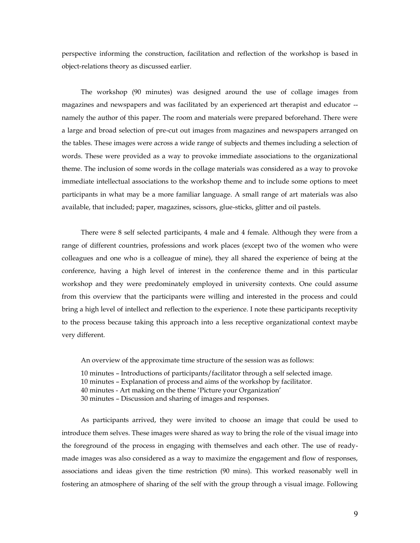perspective informing the construction, facilitation and reflection of the workshop is based in object-relations theory as discussed earlier.

The workshop (90 minutes) was designed around the use of collage images from magazines and newspapers and was facilitated by an experienced art therapist and educator - namely the author of this paper. The room and materials were prepared beforehand. There were a large and broad selection of pre-cut out images from magazines and newspapers arranged on the tables. These images were across a wide range of subjects and themes including a selection of words. These were provided as a way to provoke immediate associations to the organizational theme. The inclusion of some words in the collage materials was considered as a way to provoke immediate intellectual associations to the workshop theme and to include some options to meet participants in what may be a more familiar language. A small range of art materials was also available, that included; paper, magazines, scissors, glue-sticks, glitter and oil pastels.

There were 8 self selected participants, 4 male and 4 female. Although they were from a range of different countries, professions and work places (except two of the women who were colleagues and one who is a colleague of mine), they all shared the experience of being at the conference, having a high level of interest in the conference theme and in this particular workshop and they were predominately employed in university contexts. One could assume from this overview that the participants were willing and interested in the process and could bring a high level of intellect and reflection to the experience. I note these participants receptivity to the process because taking this approach into a less receptive organizational context maybe very different.

An overview of the approximate time structure of the session was as follows:

10 minutes – Introductions of participants/facilitator through a self selected image. 10 minutes – Explanation of process and aims of the workshop by facilitator. 40 minutes - Art making on the theme "Picture your Organization"

30 minutes – Discussion and sharing of images and responses.

As participants arrived, they were invited to choose an image that could be used to introduce them selves. These images were shared as way to bring the role of the visual image into the foreground of the process in engaging with themselves and each other. The use of readymade images was also considered as a way to maximize the engagement and flow of responses, associations and ideas given the time restriction (90 mins). This worked reasonably well in fostering an atmosphere of sharing of the self with the group through a visual image. Following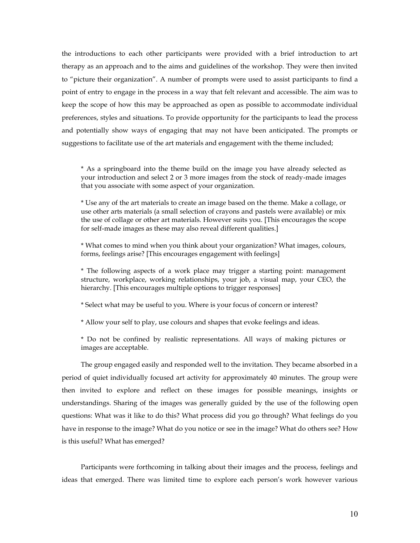the introductions to each other participants were provided with a brief introduction to art therapy as an approach and to the aims and guidelines of the workshop. They were then invited to "picture their organization". A number of prompts were used to assist participants to find a point of entry to engage in the process in a way that felt relevant and accessible. The aim was to keep the scope of how this may be approached as open as possible to accommodate individual preferences, styles and situations. To provide opportunity for the participants to lead the process and potentially show ways of engaging that may not have been anticipated. The prompts or suggestions to facilitate use of the art materials and engagement with the theme included;

\* As a springboard into the theme build on the image you have already selected as your introduction and select 2 or 3 more images from the stock of ready-made images that you associate with some aspect of your organization.

\* Use any of the art materials to create an image based on the theme. Make a collage, or use other arts materials (a small selection of crayons and pastels were available) or mix the use of collage or other art materials. However suits you. [This encourages the scope for self-made images as these may also reveal different qualities.]

\* What comes to mind when you think about your organization? What images, colours, forms, feelings arise? [This encourages engagement with feelings]

\* The following aspects of a work place may trigger a starting point: management structure, workplace, working relationships, your job, a visual map, your CEO, the hierarchy. [This encourages multiple options to trigger responses]

\* Select what may be useful to you. Where is your focus of concern or interest?

\* Allow your self to play, use colours and shapes that evoke feelings and ideas.

\* Do not be confined by realistic representations. All ways of making pictures or images are acceptable.

The group engaged easily and responded well to the invitation. They became absorbed in a period of quiet individually focused art activity for approximately 40 minutes. The group were then invited to explore and reflect on these images for possible meanings, insights or understandings. Sharing of the images was generally guided by the use of the following open questions: What was it like to do this? What process did you go through? What feelings do you have in response to the image? What do you notice or see in the image? What do others see? How is this useful? What has emerged?

Participants were forthcoming in talking about their images and the process, feelings and ideas that emerged. There was limited time to explore each person's work however various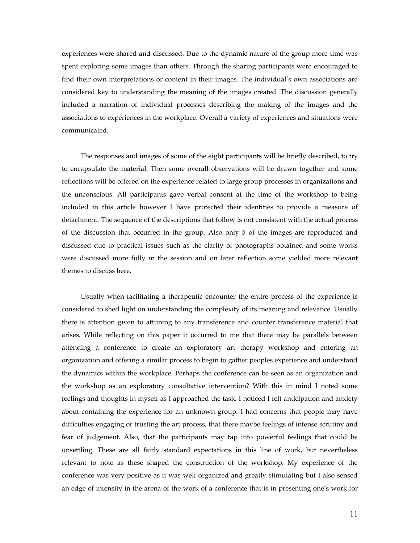experiences were shared and discussed. Due to the dynamic nature of the group more time was spent exploring some images than others. Through the sharing participants were encouraged to find their own interpretations or content in their images. The individual's own associations are considered key to understanding the meaning of the images created. The discussion generally included a narration of individual processes describing the making of the images and the associations to experiences in the workplace. Overall a variety of experiences and situations were communicated.

The responses and images of some of the eight participants will be briefly described, to try to encapsulate the material. Then some overall observations will be drawn together and some reflections will be offered on the experience related to large group processes in organizations and the unconscious. All participants gave verbal consent at the time of the workshop to being included in this article however I have protected their identities to provide a measure of detachment. The sequence of the descriptions that follow is not consistent with the actual process of the discussion that occurred in the group. Also only 5 of the images are reproduced and discussed due to practical issues such as the clarity of photographs obtained and some works were discussed more fully in the session and on later reflection some yielded more relevant themes to discuss here.

Usually when facilitating a therapeutic encounter the entire process of the experience is considered to shed light on understanding the complexity of its meaning and relevance. Usually there is attention given to attuning to any transference and counter transference material that arises. While reflecting on this paper it occurred to me that there may be parallels between attending a conference to create an exploratory art therapy workshop and entering an organization and offering a similar process to begin to gather peoples experience and understand the dynamics within the workplace. Perhaps the conference can be seen as an organization and the workshop as an exploratory consultative intervention? With this in mind I noted some feelings and thoughts in myself as I approached the task. I noticed I felt anticipation and anxiety about containing the experience for an unknown group. I had concerns that people may have difficulties engaging or trusting the art process, that there maybe feelings of intense scrutiny and fear of judgement. Also, that the participants may tap into powerful feelings that could be unsettling. These are all fairly standard expectations in this line of work, but nevertheless relevant to note as these shaped the construction of the workshop. My experience of the conference was very positive as it was well organized and greatly stimulating but I also sensed an edge of intensity in the arena of the work of a conference that is in presenting one"s work for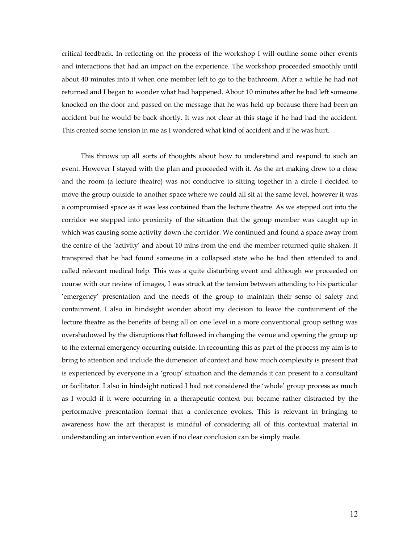critical feedback. In reflecting on the process of the workshop I will outline some other events and interactions that had an impact on the experience. The workshop proceeded smoothly until about 40 minutes into it when one member left to go to the bathroom. After a while he had not returned and I began to wonder what had happened. About 10 minutes after he had left someone knocked on the door and passed on the message that he was held up because there had been an accident but he would be back shortly. It was not clear at this stage if he had had the accident. This created some tension in me as I wondered what kind of accident and if he was hurt.

This throws up all sorts of thoughts about how to understand and respond to such an event. However I stayed with the plan and proceeded with it. As the art making drew to a close and the room (a lecture theatre) was not conducive to sitting together in a circle I decided to move the group outside to another space where we could all sit at the same level, however it was a compromised space as it was less contained than the lecture theatre. As we stepped out into the corridor we stepped into proximity of the situation that the group member was caught up in which was causing some activity down the corridor. We continued and found a space away from the centre of the "activity" and about 10 mins from the end the member returned quite shaken. It transpired that he had found someone in a collapsed state who he had then attended to and called relevant medical help. This was a quite disturbing event and although we proceeded on course with our review of images, I was struck at the tension between attending to his particular "emergency" presentation and the needs of the group to maintain their sense of safety and containment. I also in hindsight wonder about my decision to leave the containment of the lecture theatre as the benefits of being all on one level in a more conventional group setting was overshadowed by the disruptions that followed in changing the venue and opening the group up to the external emergency occurring outside. In recounting this as part of the process my aim is to bring to attention and include the dimension of context and how much complexity is present that is experienced by everyone in a 'group' situation and the demands it can present to a consultant or facilitator. I also in hindsight noticed I had not considered the "whole" group process as much as I would if it were occurring in a therapeutic context but became rather distracted by the performative presentation format that a conference evokes. This is relevant in bringing to awareness how the art therapist is mindful of considering all of this contextual material in understanding an intervention even if no clear conclusion can be simply made.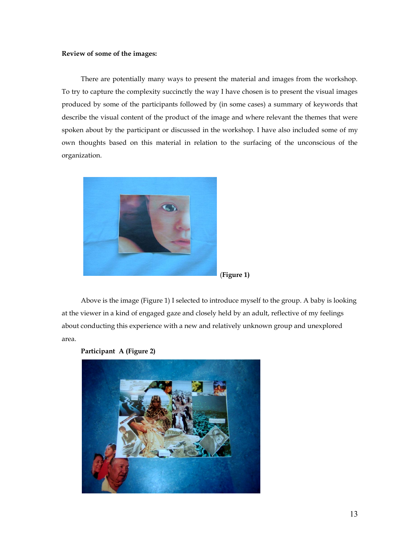## **Review of some of the images:**

There are potentially many ways to present the material and images from the workshop. To try to capture the complexity succinctly the way I have chosen is to present the visual images produced by some of the participants followed by (in some cases) a summary of keywords that describe the visual content of the product of the image and where relevant the themes that were spoken about by the participant or discussed in the workshop. I have also included some of my own thoughts based on this material in relation to the surfacing of the unconscious of the organization.



(**Figure 1)**

Above is the image (Figure 1) I selected to introduce myself to the group. A baby is looking at the viewer in a kind of engaged gaze and closely held by an adult, reflective of my feelings about conducting this experience with a new and relatively unknown group and unexplored area.



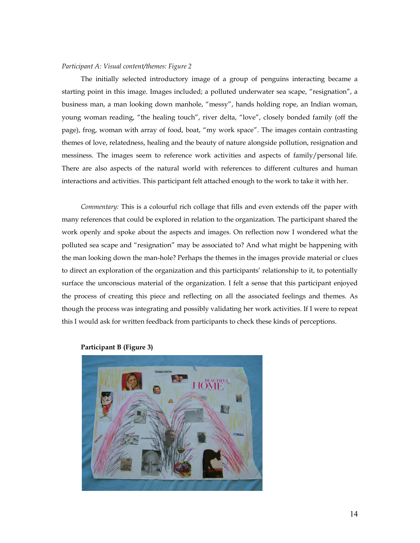## *Participant A: Visual content/themes: Figure 2*

The initially selected introductory image of a group of penguins interacting became a starting point in this image. Images included; a polluted underwater sea scape, "resignation", a business man, a man looking down manhole, "messy", hands holding rope, an Indian woman, young woman reading, "the healing touch", river delta, "love", closely bonded family (off the page), frog, woman with array of food, boat, "my work space". The images contain contrasting themes of love, relatedness, healing and the beauty of nature alongside pollution, resignation and messiness. The images seem to reference work activities and aspects of family/personal life. There are also aspects of the natural world with references to different cultures and human interactions and activities. This participant felt attached enough to the work to take it with her.

*Commentary:* This is a colourful rich collage that fills and even extends off the paper with many references that could be explored in relation to the organization. The participant shared the work openly and spoke about the aspects and images. On reflection now I wondered what the polluted sea scape and "resignation" may be associated to? And what might be happening with the man looking down the man-hole? Perhaps the themes in the images provide material or clues to direct an exploration of the organization and this participants" relationship to it, to potentially surface the unconscious material of the organization. I felt a sense that this participant enjoyed the process of creating this piece and reflecting on all the associated feelings and themes. As though the process was integrating and possibly validating her work activities. If I were to repeat this I would ask for written feedback from participants to check these kinds of perceptions.



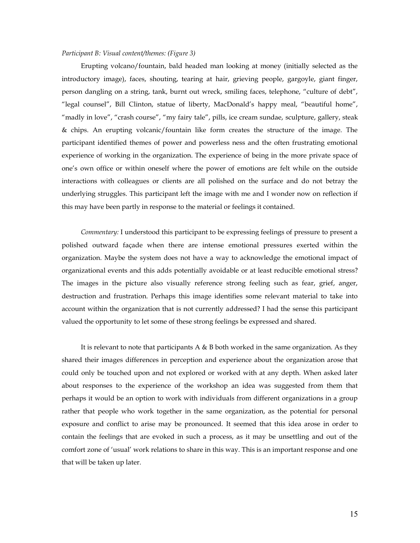## *Participant B: Visual content/themes: (Figure 3)*

Erupting volcano/fountain, bald headed man looking at money (initially selected as the introductory image), faces, shouting, tearing at hair, grieving people, gargoyle, giant finger, person dangling on a string, tank, burnt out wreck, smiling faces, telephone, "culture of debt", "legal counsel", Bill Clinton, statue of liberty, MacDonald"s happy meal, "beautiful home", "madly in love", "crash course", "my fairy tale", pills, ice cream sundae, sculpture, gallery, steak & chips. An erupting volcanic/fountain like form creates the structure of the image. The participant identified themes of power and powerless ness and the often frustrating emotional experience of working in the organization. The experience of being in the more private space of one"s own office or within oneself where the power of emotions are felt while on the outside interactions with colleagues or clients are all polished on the surface and do not betray the underlying struggles. This participant left the image with me and I wonder now on reflection if this may have been partly in response to the material or feelings it contained.

*Commentary:* I understood this participant to be expressing feelings of pressure to present a polished outward façade when there are intense emotional pressures exerted within the organization. Maybe the system does not have a way to acknowledge the emotional impact of organizational events and this adds potentially avoidable or at least reducible emotional stress? The images in the picture also visually reference strong feeling such as fear, grief, anger, destruction and frustration. Perhaps this image identifies some relevant material to take into account within the organization that is not currently addressed? I had the sense this participant valued the opportunity to let some of these strong feelings be expressed and shared.

It is relevant to note that participants A & B both worked in the same organization. As they shared their images differences in perception and experience about the organization arose that could only be touched upon and not explored or worked with at any depth. When asked later about responses to the experience of the workshop an idea was suggested from them that perhaps it would be an option to work with individuals from different organizations in a group rather that people who work together in the same organization, as the potential for personal exposure and conflict to arise may be pronounced. It seemed that this idea arose in order to contain the feelings that are evoked in such a process, as it may be unsettling and out of the comfort zone of "usual" work relations to share in this way. This is an important response and one that will be taken up later.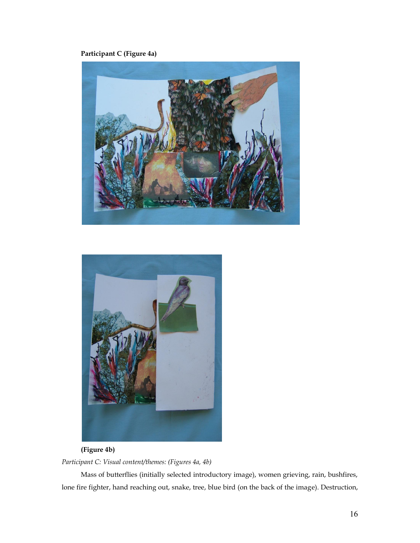# **Participant C (Figure 4a)**





# **(Figure 4b)**

*Participant C: Visual content/themes: (Figures 4a, 4b)*

Mass of butterflies (initially selected introductory image), women grieving, rain, bushfires, lone fire fighter, hand reaching out, snake, tree, blue bird (on the back of the image). Destruction,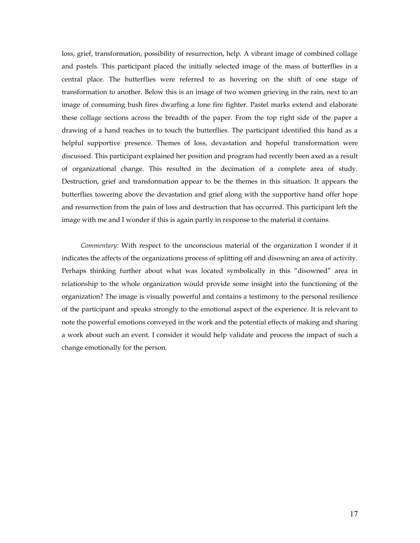loss, grief, transformation, possibility of resurrection, help. A vibrant image of combined collage and pastels. This participant placed the initially selected image of the mass of butterflies in a central place. The butterflies were referred to as hovering on the shift of one stage of transformation to another. Below this is an image of two women grieving in the rain, next to an image of consuming bush fires dwarfing a lone fire fighter. Pastel marks extend and elaborate these collage sections across the breadth of the paper. From the top right side of the paper a drawing of a hand reaches in to touch the butterflies. The participant identified this hand as a helpful supportive presence. Themes of loss, devastation and hopeful transformation were discussed. This participant explained her position and program had recently been axed as a result of organizational change. This resulted in the decimation of a complete area of study. Destruction, grief and transformation appear to be the themes in this situation. It appears the butterflies towering above the devastation and grief along with the supportive hand offer hope and resurrection from the pain of loss and destruction that has occurred. This participant left the image with me and I wonder if this is again partly in response to the material it contains.

*Commentary:* With respect to the unconscious material of the organization I wonder if it indicates the affects of the organizations process of splitting off and disowning an area of activity. Perhaps thinking further about what was located symbolically in this "disowned" area in relationship to the whole organization would provide some insight into the functioning of the organization? The image is visually powerful and contains a testimony to the personal resilience of the participant and speaks strongly to the emotional aspect of the experience. It is relevant to note the powerful emotions conveyed in the work and the potential effects of making and sharing a work about such an event. I consider it would help validate and process the impact of such a change emotionally for the person.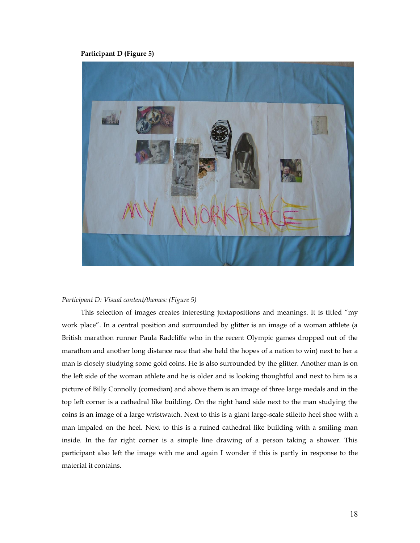**Participant D (Figure 5)**



## *Participant D: Visual content/themes: (Figure 5)*

This selection of images creates interesting juxtapositions and meanings. It is titled "my work place". In a central position and surrounded by glitter is an image of a woman athlete (a British marathon runner Paula Radcliffe who in the recent Olympic games dropped out of the marathon and another long distance race that she held the hopes of a nation to win) next to her a man is closely studying some gold coins. He is also surrounded by the glitter. Another man is on the left side of the woman athlete and he is older and is looking thoughtful and next to him is a picture of Billy Connolly (comedian) and above them is an image of three large medals and in the top left corner is a cathedral like building. On the right hand side next to the man studying the coins is an image of a large wristwatch. Next to this is a giant large-scale stiletto heel shoe with a man impaled on the heel. Next to this is a ruined cathedral like building with a smiling man inside. In the far right corner is a simple line drawing of a person taking a shower. This participant also left the image with me and again I wonder if this is partly in response to the material it contains.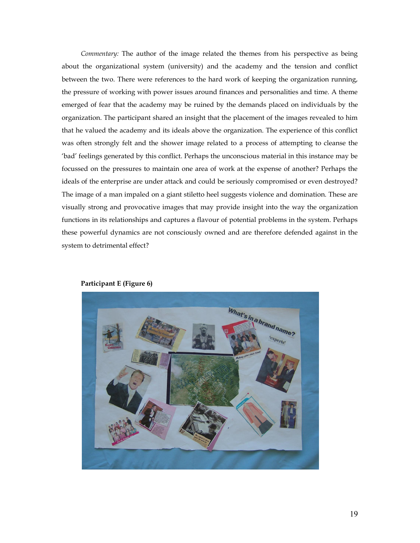*Commentary:* The author of the image related the themes from his perspective as being about the organizational system (university) and the academy and the tension and conflict between the two. There were references to the hard work of keeping the organization running, the pressure of working with power issues around finances and personalities and time. A theme emerged of fear that the academy may be ruined by the demands placed on individuals by the organization. The participant shared an insight that the placement of the images revealed to him that he valued the academy and its ideals above the organization. The experience of this conflict was often strongly felt and the shower image related to a process of attempting to cleanse the "bad" feelings generated by this conflict. Perhaps the unconscious material in this instance may be focussed on the pressures to maintain one area of work at the expense of another? Perhaps the ideals of the enterprise are under attack and could be seriously compromised or even destroyed? The image of a man impaled on a giant stiletto heel suggests violence and domination. These are visually strong and provocative images that may provide insight into the way the organization functions in its relationships and captures a flavour of potential problems in the system. Perhaps these powerful dynamics are not consciously owned and are therefore defended against in the system to detrimental effect?



## **Participant E (Figure 6)**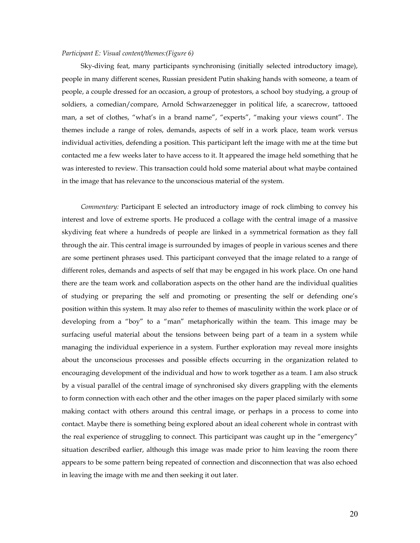## *Participant E: Visual content/themes:(Figure 6)*

Sky-diving feat, many participants synchronising (initially selected introductory image), people in many different scenes, Russian president Putin shaking hands with someone, a team of people, a couple dressed for an occasion, a group of protestors, a school boy studying, a group of soldiers, a comedian/compare, Arnold Schwarzenegger in political life, a scarecrow, tattooed man, a set of clothes, "what's in a brand name", "experts", "making your views count". The themes include a range of roles, demands, aspects of self in a work place, team work versus individual activities, defending a position. This participant left the image with me at the time but contacted me a few weeks later to have access to it. It appeared the image held something that he was interested to review. This transaction could hold some material about what maybe contained in the image that has relevance to the unconscious material of the system.

*Commentary:* Participant E selected an introductory image of rock climbing to convey his interest and love of extreme sports. He produced a collage with the central image of a massive skydiving feat where a hundreds of people are linked in a symmetrical formation as they fall through the air. This central image is surrounded by images of people in various scenes and there are some pertinent phrases used. This participant conveyed that the image related to a range of different roles, demands and aspects of self that may be engaged in his work place. On one hand there are the team work and collaboration aspects on the other hand are the individual qualities of studying or preparing the self and promoting or presenting the self or defending one"s position within this system. It may also refer to themes of masculinity within the work place or of developing from a "boy" to a "man" metaphorically within the team. This image may be surfacing useful material about the tensions between being part of a team in a system while managing the individual experience in a system. Further exploration may reveal more insights about the unconscious processes and possible effects occurring in the organization related to encouraging development of the individual and how to work together as a team. I am also struck by a visual parallel of the central image of synchronised sky divers grappling with the elements to form connection with each other and the other images on the paper placed similarly with some making contact with others around this central image, or perhaps in a process to come into contact. Maybe there is something being explored about an ideal coherent whole in contrast with the real experience of struggling to connect. This participant was caught up in the "emergency" situation described earlier, although this image was made prior to him leaving the room there appears to be some pattern being repeated of connection and disconnection that was also echoed in leaving the image with me and then seeking it out later.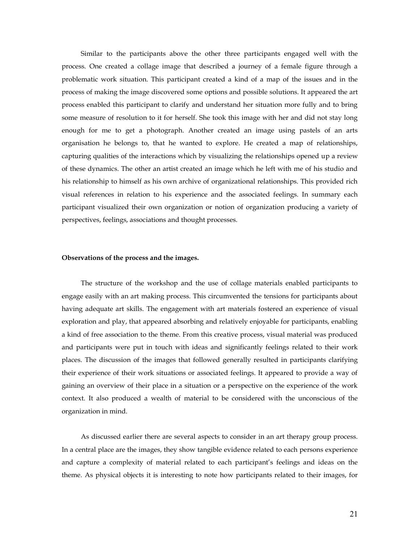Similar to the participants above the other three participants engaged well with the process. One created a collage image that described a journey of a female figure through a problematic work situation. This participant created a kind of a map of the issues and in the process of making the image discovered some options and possible solutions. It appeared the art process enabled this participant to clarify and understand her situation more fully and to bring some measure of resolution to it for herself. She took this image with her and did not stay long enough for me to get a photograph. Another created an image using pastels of an arts organisation he belongs to, that he wanted to explore. He created a map of relationships, capturing qualities of the interactions which by visualizing the relationships opened up a review of these dynamics. The other an artist created an image which he left with me of his studio and his relationship to himself as his own archive of organizational relationships. This provided rich visual references in relation to his experience and the associated feelings. In summary each participant visualized their own organization or notion of organization producing a variety of perspectives, feelings, associations and thought processes.

#### **Observations of the process and the images.**

The structure of the workshop and the use of collage materials enabled participants to engage easily with an art making process. This circumvented the tensions for participants about having adequate art skills. The engagement with art materials fostered an experience of visual exploration and play, that appeared absorbing and relatively enjoyable for participants, enabling a kind of free association to the theme. From this creative process, visual material was produced and participants were put in touch with ideas and significantly feelings related to their work places. The discussion of the images that followed generally resulted in participants clarifying their experience of their work situations or associated feelings. It appeared to provide a way of gaining an overview of their place in a situation or a perspective on the experience of the work context. It also produced a wealth of material to be considered with the unconscious of the organization in mind.

As discussed earlier there are several aspects to consider in an art therapy group process. In a central place are the images, they show tangible evidence related to each persons experience and capture a complexity of material related to each participant"s feelings and ideas on the theme. As physical objects it is interesting to note how participants related to their images, for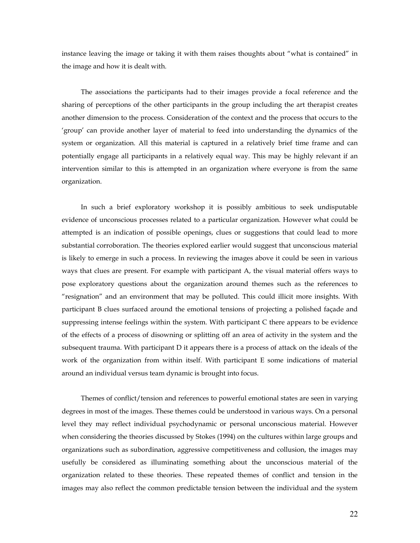instance leaving the image or taking it with them raises thoughts about "what is contained" in the image and how it is dealt with.

The associations the participants had to their images provide a focal reference and the sharing of perceptions of the other participants in the group including the art therapist creates another dimension to the process. Consideration of the context and the process that occurs to the "group" can provide another layer of material to feed into understanding the dynamics of the system or organization. All this material is captured in a relatively brief time frame and can potentially engage all participants in a relatively equal way. This may be highly relevant if an intervention similar to this is attempted in an organization where everyone is from the same organization.

In such a brief exploratory workshop it is possibly ambitious to seek undisputable evidence of unconscious processes related to a particular organization. However what could be attempted is an indication of possible openings, clues or suggestions that could lead to more substantial corroboration. The theories explored earlier would suggest that unconscious material is likely to emerge in such a process. In reviewing the images above it could be seen in various ways that clues are present. For example with participant A, the visual material offers ways to pose exploratory questions about the organization around themes such as the references to "resignation" and an environment that may be polluted. This could illicit more insights. With participant B clues surfaced around the emotional tensions of projecting a polished façade and suppressing intense feelings within the system. With participant C there appears to be evidence of the effects of a process of disowning or splitting off an area of activity in the system and the subsequent trauma. With participant D it appears there is a process of attack on the ideals of the work of the organization from within itself. With participant E some indications of material around an individual versus team dynamic is brought into focus.

Themes of conflict/tension and references to powerful emotional states are seen in varying degrees in most of the images. These themes could be understood in various ways. On a personal level they may reflect individual psychodynamic or personal unconscious material. However when considering the theories discussed by Stokes (1994) on the cultures within large groups and organizations such as subordination, aggressive competitiveness and collusion, the images may usefully be considered as illuminating something about the unconscious material of the organization related to these theories. These repeated themes of conflict and tension in the images may also reflect the common predictable tension between the individual and the system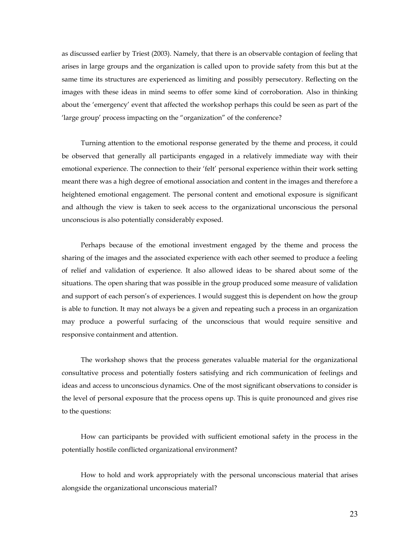as discussed earlier by Triest (2003). Namely, that there is an observable contagion of feeling that arises in large groups and the organization is called upon to provide safety from this but at the same time its structures are experienced as limiting and possibly persecutory. Reflecting on the images with these ideas in mind seems to offer some kind of corroboration. Also in thinking about the "emergency" event that affected the workshop perhaps this could be seen as part of the 'large group' process impacting on the "organization" of the conference?

Turning attention to the emotional response generated by the theme and process, it could be observed that generally all participants engaged in a relatively immediate way with their emotional experience. The connection to their "felt" personal experience within their work setting meant there was a high degree of emotional association and content in the images and therefore a heightened emotional engagement. The personal content and emotional exposure is significant and although the view is taken to seek access to the organizational unconscious the personal unconscious is also potentially considerably exposed.

Perhaps because of the emotional investment engaged by the theme and process the sharing of the images and the associated experience with each other seemed to produce a feeling of relief and validation of experience. It also allowed ideas to be shared about some of the situations. The open sharing that was possible in the group produced some measure of validation and support of each person's of experiences. I would suggest this is dependent on how the group is able to function. It may not always be a given and repeating such a process in an organization may produce a powerful surfacing of the unconscious that would require sensitive and responsive containment and attention.

The workshop shows that the process generates valuable material for the organizational consultative process and potentially fosters satisfying and rich communication of feelings and ideas and access to unconscious dynamics. One of the most significant observations to consider is the level of personal exposure that the process opens up. This is quite pronounced and gives rise to the questions:

How can participants be provided with sufficient emotional safety in the process in the potentially hostile conflicted organizational environment?

How to hold and work appropriately with the personal unconscious material that arises alongside the organizational unconscious material?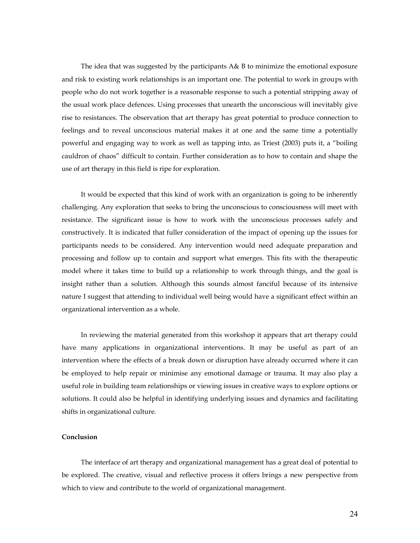The idea that was suggested by the participants A& B to minimize the emotional exposure and risk to existing work relationships is an important one. The potential to work in groups with people who do not work together is a reasonable response to such a potential stripping away of the usual work place defences. Using processes that unearth the unconscious will inevitably give rise to resistances. The observation that art therapy has great potential to produce connection to feelings and to reveal unconscious material makes it at one and the same time a potentially powerful and engaging way to work as well as tapping into, as Triest (2003) puts it, a "boiling cauldron of chaos" difficult to contain. Further consideration as to how to contain and shape the use of art therapy in this field is ripe for exploration.

It would be expected that this kind of work with an organization is going to be inherently challenging. Any exploration that seeks to bring the unconscious to consciousness will meet with resistance. The significant issue is how to work with the unconscious processes safely and constructively. It is indicated that fuller consideration of the impact of opening up the issues for participants needs to be considered. Any intervention would need adequate preparation and processing and follow up to contain and support what emerges. This fits with the therapeutic model where it takes time to build up a relationship to work through things, and the goal is insight rather than a solution. Although this sounds almost fanciful because of its intensive nature I suggest that attending to individual well being would have a significant effect within an organizational intervention as a whole.

In reviewing the material generated from this workshop it appears that art therapy could have many applications in organizational interventions. It may be useful as part of an intervention where the effects of a break down or disruption have already occurred where it can be employed to help repair or minimise any emotional damage or trauma. It may also play a useful role in building team relationships or viewing issues in creative ways to explore options or solutions. It could also be helpful in identifying underlying issues and dynamics and facilitating shifts in organizational culture.

## **Conclusion**

The interface of art therapy and organizational management has a great deal of potential to be explored. The creative, visual and reflective process it offers brings a new perspective from which to view and contribute to the world of organizational management.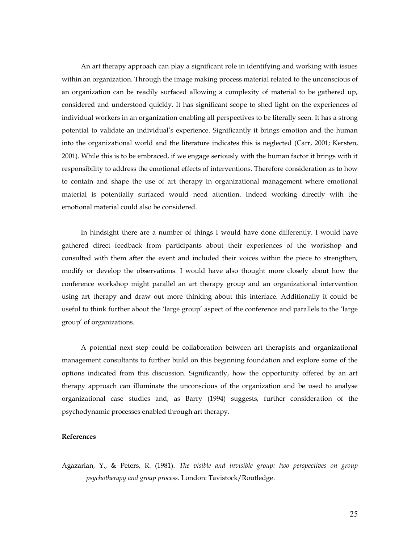An art therapy approach can play a significant role in identifying and working with issues within an organization. Through the image making process material related to the unconscious of an organization can be readily surfaced allowing a complexity of material to be gathered up, considered and understood quickly. It has significant scope to shed light on the experiences of individual workers in an organization enabling all perspectives to be literally seen. It has a strong potential to validate an individual"s experience. Significantly it brings emotion and the human into the organizational world and the literature indicates this is neglected (Carr, 2001; Kersten, 2001). While this is to be embraced, if we engage seriously with the human factor it brings with it responsibility to address the emotional effects of interventions. Therefore consideration as to how to contain and shape the use of art therapy in organizational management where emotional material is potentially surfaced would need attention. Indeed working directly with the emotional material could also be considered.

In hindsight there are a number of things I would have done differently. I would have gathered direct feedback from participants about their experiences of the workshop and consulted with them after the event and included their voices within the piece to strengthen, modify or develop the observations. I would have also thought more closely about how the conference workshop might parallel an art therapy group and an organizational intervention using art therapy and draw out more thinking about this interface. Additionally it could be useful to think further about the "large group" aspect of the conference and parallels to the "large group" of organizations.

A potential next step could be collaboration between art therapists and organizational management consultants to further build on this beginning foundation and explore some of the options indicated from this discussion. Significantly, how the opportunity offered by an art therapy approach can illuminate the unconscious of the organization and be used to analyse organizational case studies and, as Barry (1994) suggests, further consideration of the psychodynamic processes enabled through art therapy.

## **References**

Agazarian, Y., & Peters, R. (1981). *The visible and invisible group: two perspectives on group psychotherapy and group process*. London: Tavistock/Routledge.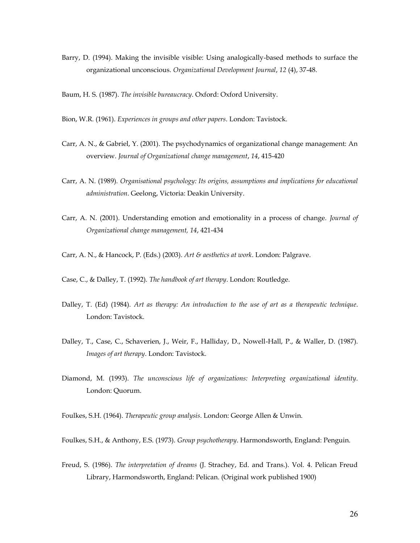Barry, D. (1994). Making the invisible visible: Using analogically-based methods to surface the organizational unconscious. *Organizational Development Journal*, *12* (4), 37-48.

Baum, H. S. (1987). *The invisible bureaucracy*. Oxford: Oxford University.

- Bion, W.R. (1961). *Experiences in groups and other papers*. London: Tavistock.
- Carr, A. N., & Gabriel, Y. (2001). The psychodynamics of organizational change management: An overview. *Journal of Organizational change management*, *14*, 415-420
- Carr, A. N. (1989). *Organisational psychology: Its origins, assumptions and implications for educational administration*. Geelong, Victoria: Deakin University.
- Carr, A. N. (2001). Understanding emotion and emotionality in a process of change. *Journal of Organizational change management, 14*, 421-434
- Carr, A. N., & Hancock, P. (Eds.) (2003). *Art & aesthetics at work*. London: Palgrave.

Case, C., & Dalley, T. (1992). *The handbook of art therapy*. London: Routledge.

- Dalley, T. (Ed) (1984). *Art as therapy: An introduction to the use of art as a therapeutic technique*. London: Tavistock.
- Dalley, T., Case, C., Schaverien, J., Weir, F., Halliday, D., Nowell-Hall, P., & Waller, D. (1987). *Images of art therapy*. London: Tavistock.
- Diamond, M. (1993). *The unconscious life of organizations: Interpreting organizational identity*. London: Quorum.
- Foulkes, S.H. (1964). *Therapeutic group analysis*. London: George Allen & Unwin.
- Foulkes, S.H., & Anthony, E.S. (1973). *Group psychotherapy*. Harmondsworth, England: Penguin.
- Freud, S. (1986). *The interpretation of dreams* (J. Strachey, Ed. and Trans.). Vol. 4. Pelican Freud Library, Harmondsworth, England: Pelican. (Original work published 1900)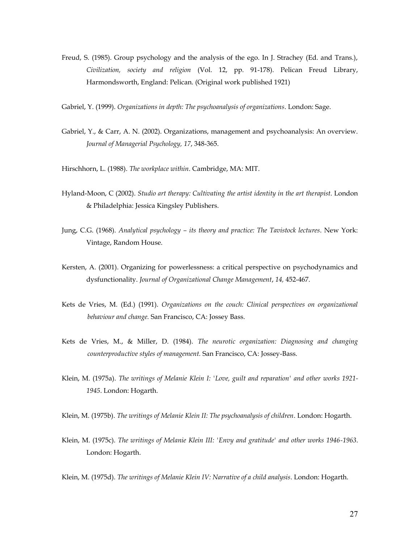- Freud, S. (1985). Group psychology and the analysis of the ego. In J. Strachey (Ed. and Trans.), *Civilization, society and religion* (Vol. 12, pp. 91-178). Pelican Freud Library, Harmondsworth, England: Pelican. (Original work published 1921)
- Gabriel, Y. (1999). *Organizations in depth: The psychoanalysis of organizations*. London: Sage.
- Gabriel, Y., & Carr, A. N. (2002). Organizations, management and psychoanalysis: An overview. *Journal of Managerial Psychology, 17*, 348-365.
- Hirschhorn, L. (1988). *The workplace within*. Cambridge, MA: MIT.
- Hyland-Moon, C (2002). *Studio art therapy: Cultivating the artist identity in the art therapist*. London & Philadelphia: Jessica Kingsley Publishers.
- Jung, C.G. (1968). *Analytical psychology – its theory and practice: The Tavistock lectures*. New York: Vintage, Random House.
- Kersten, A. (2001). Organizing for powerlessness: a critical perspective on psychodynamics and dysfunctionality. *Journal of Organizational Change Management*, *14,* 452-467.
- Kets de Vries, M. (Ed.) (1991). *Organizations on the couch: Clinical perspectives on organizational behaviour and change.* San Francisco, CA: Jossey Bass.
- Kets de Vries, M., & Miller, D. (1984). *The neurotic organization: Diagnosing and changing counterproductive styles of management.* San Francisco, CA: Jossey-Bass.
- Klein, M. (1975a). *The writings of Melanie Klein I: 'Love, guilt and reparation' and other works 1921- 1945*. London: Hogarth.
- Klein, M. (1975b). *The writings of Melanie Klein II: The psychoanalysis of children*. London: Hogarth.
- Klein, M. (1975c). *The writings of Melanie Klein III: 'Envy and gratitude' and other works 1946-1963*. London: Hogarth.

Klein, M. (1975d). *The writings of Melanie Klein IV: Narrative of a child analysis*. London: Hogarth.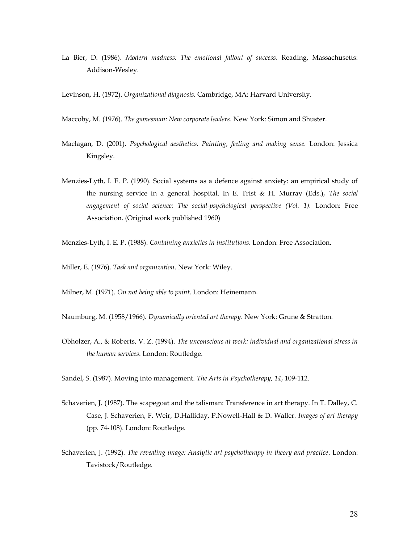La Bier, D. (1986). *Modern madness: The emotional fallout of success*. Reading, Massachusetts: Addison-Wesley.

Levinson, H. (1972). *Organizational diagnosis*. Cambridge, MA: Harvard University.

- Maccoby, M. (1976). *The gamesman: New corporate leaders*. New York: Simon and Shuster.
- Maclagan, D. (2001). *Psychological aesthetics: Painting, feeling and making sense.* London: Jessica Kingsley.
- Menzies-Lyth, I. E. P. (1990). Social systems as a defence against anxiety: an empirical study of the nursing service in a general hospital. In E. Trist & H. Murray (Eds.), *The social engagement of social science: The social-psychological perspective (Vol. 1).* London: Free Association. (Original work published 1960)
- Menzies-Lyth, I. E. P. (1988). *Containing anxieties in institutions*. London: Free Association.
- Miller, E. (1976). *Task and organization*. New York: Wiley.

Milner, M. (1971). *On not being able to paint*. London: Heinemann.

Naumburg, M. (1958/1966). *Dynamically oriented art therapy*. New York: Grune & Stratton.

Obholzer, A., & Roberts, V. Z. (1994). *The unconscious at work: individual and organizational stress in the human services*. London: Routledge.

Sandel, S. (1987). Moving into management. *The Arts in Psychotherapy, 14*, 109-112.

- Schaverien, J. (1987). The scapegoat and the talisman: Transference in art therapy. In T. Dalley, C. Case, J. Schaverien, F. Weir, D.Halliday, P.Nowell-Hall & D. Waller. *Images of art therapy*  (pp. 74-108). London: Routledge.
- Schaverien, J. (1992). *The revealing image: Analytic art psychotherapy in theory and practice*. London: Tavistock/Routledge.